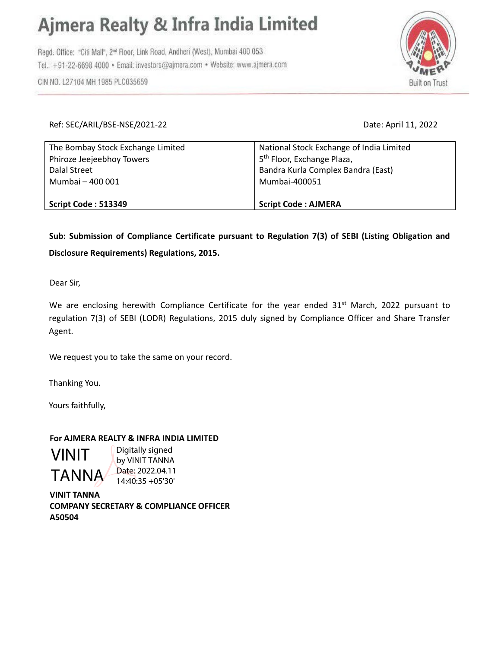## Ajmera Realty & Infra India Limited

Regd. Office: "Citi Mall", 2<sup>nd</sup> Floor, Link Road, Andheri (West), Mumbai 400 053 Tel.: +91-22-6698 4000 · Email: investors@ajmera.com · Website: www.ajmera.com



CIN NO. L27104 MH 1985 PLC035659

Date: April 11, 2022

| The Bombay Stock Exchange Limited | National Stock Exchange of India Limited |
|-----------------------------------|------------------------------------------|
| Phiroze Jeejeebhoy Towers         | 5 <sup>th</sup> Floor, Exchange Plaza,   |
| Dalal Street                      | Bandra Kurla Complex Bandra (East)       |
| Mumbai - 400 001                  | Mumbai-400051                            |
| Script Code: 513349               | <b>Script Code: AJMERA</b>               |

Sub: Submission of Compliance Certificate pursuant to Regulation 7(3) of SEBI (Listing Obligation and Disclosure Requirements) Regulations, 2015.

Dear Sir,

We are enclosing herewith Compliance Certificate for the year ended 31<sup>st</sup> March, 2022 pursuant to regulation 7(3) of SEBI (LODR) Regulations, 2015 duly signed by Compliance Officer and Share Transfer Agent.

We request you to take the same on your record.

Thanking You.

Yours faithfully,

VINIT

TANNA

## For AJMERA REALTY & INFRA INDIA LIMITED

Digitally signed by VINIT TANNA Date: 2022.04.11 14:40:35 +05'30'

VINIT TANNA COMPANY SECRETARY & COMPLIANCE OFFICER A50504